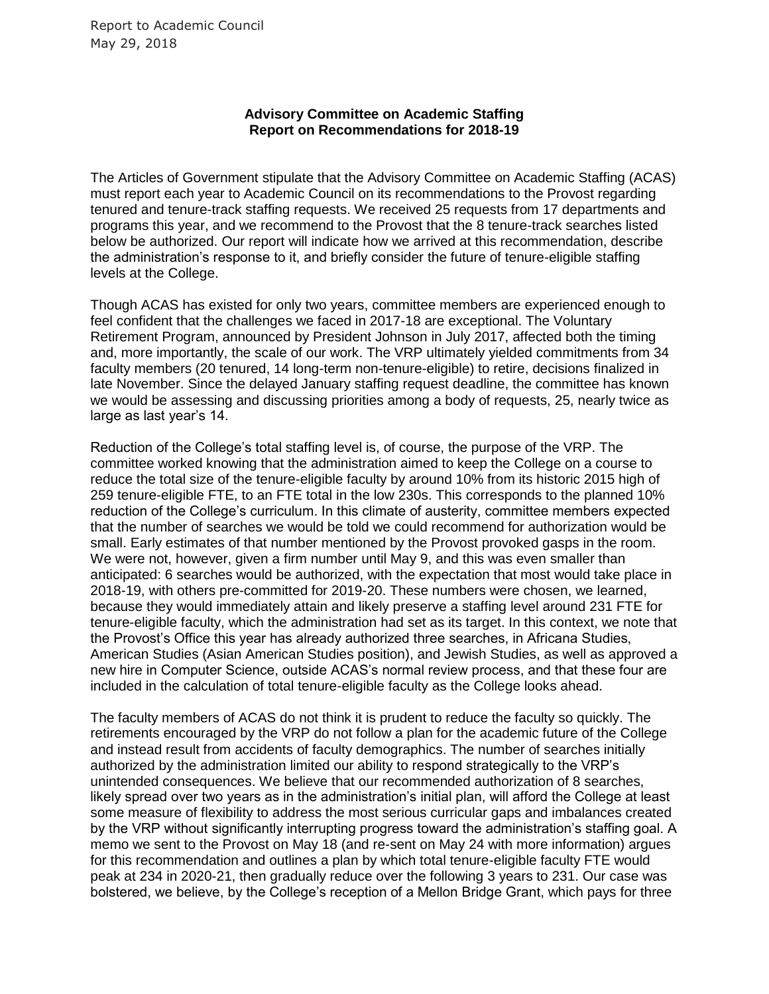## **Advisory Committee on Academic Staffing Report on Recommendations for 2018-19**

The Articles of Government stipulate that the Advisory Committee on Academic Staffing (ACAS) must report each year to Academic Council on its recommendations to the Provost regarding tenured and tenure-track staffing requests. We received 25 requests from 17 departments and programs this year, and we recommend to the Provost that the 8 tenure-track searches listed below be authorized. Our report will indicate how we arrived at this recommendation, describe the administration's response to it, and briefly consider the future of tenure-eligible staffing levels at the College.

Though ACAS has existed for only two years, committee members are experienced enough to feel confident that the challenges we faced in 2017-18 are exceptional. The Voluntary Retirement Program, announced by President Johnson in July 2017, affected both the timing and, more importantly, the scale of our work. The VRP ultimately yielded commitments from 34 faculty members (20 tenured, 14 long-term non-tenure-eligible) to retire, decisions finalized in late November. Since the delayed January staffing request deadline, the committee has known we would be assessing and discussing priorities among a body of requests, 25, nearly twice as large as last year's 14.

Reduction of the College's total staffing level is, of course, the purpose of the VRP. The committee worked knowing that the administration aimed to keep the College on a course to reduce the total size of the tenure-eligible faculty by around 10% from its historic 2015 high of 259 tenure-eligible FTE, to an FTE total in the low 230s. This corresponds to the planned 10% reduction of the College's curriculum. In this climate of austerity, committee members expected that the number of searches we would be told we could recommend for authorization would be small. Early estimates of that number mentioned by the Provost provoked gasps in the room. We were not, however, given a firm number until May 9, and this was even smaller than anticipated: 6 searches would be authorized, with the expectation that most would take place in 2018-19, with others pre-committed for 2019-20. These numbers were chosen, we learned, because they would immediately attain and likely preserve a staffing level around 231 FTE for tenure-eligible faculty, which the administration had set as its target. In this context, we note that the Provost's Office this year has already authorized three searches, in Africana Studies, American Studies (Asian American Studies position), and Jewish Studies, as well as approved a new hire in Computer Science, outside ACAS's normal review process, and that these four are included in the calculation of total tenure-eligible faculty as the College looks ahead.

The faculty members of ACAS do not think it is prudent to reduce the faculty so quickly. The retirements encouraged by the VRP do not follow a plan for the academic future of the College and instead result from accidents of faculty demographics. The number of searches initially authorized by the administration limited our ability to respond strategically to the VRP's unintended consequences. We believe that our recommended authorization of 8 searches, likely spread over two years as in the administration's initial plan, will afford the College at least some measure of flexibility to address the most serious curricular gaps and imbalances created by the VRP without significantly interrupting progress toward the administration's staffing goal. A memo we sent to the Provost on May 18 (and re-sent on May 24 with more information) argues for this recommendation and outlines a plan by which total tenure-eligible faculty FTE would peak at 234 in 2020-21, then gradually reduce over the following 3 years to 231. Our case was bolstered, we believe, by the College's reception of a Mellon Bridge Grant, which pays for three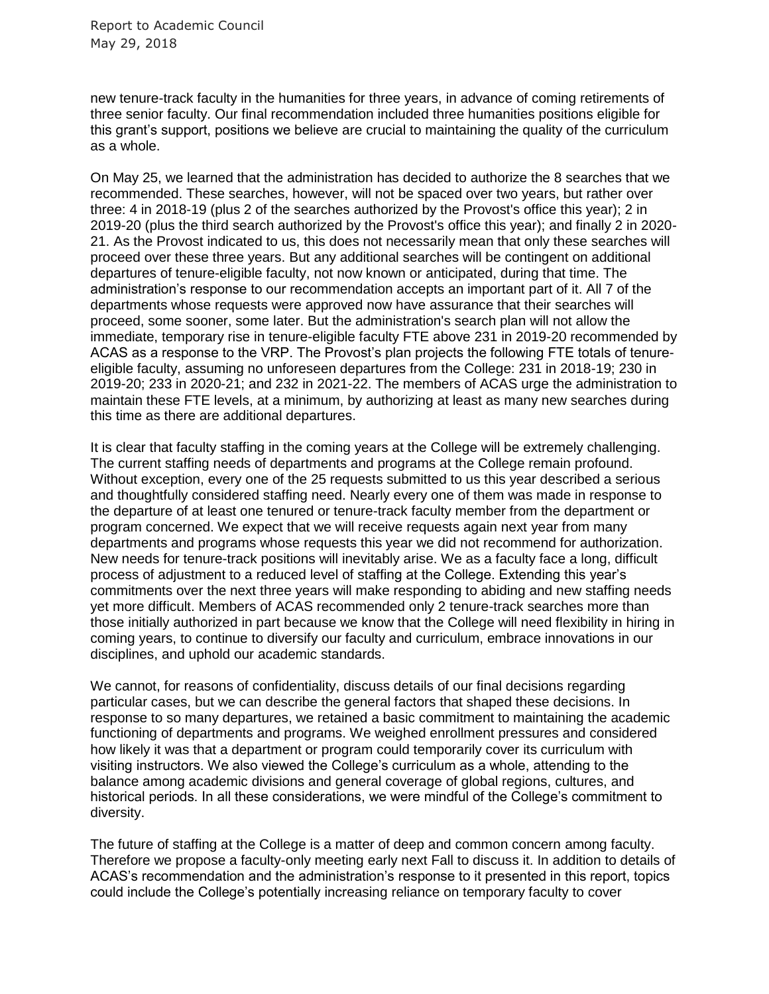new tenure-track faculty in the humanities for three years, in advance of coming retirements of three senior faculty. Our final recommendation included three humanities positions eligible for this grant's support, positions we believe are crucial to maintaining the quality of the curriculum as a whole.

On May 25, we learned that the administration has decided to authorize the 8 searches that we recommended. These searches, however, will not be spaced over two years, but rather over three: 4 in 2018-19 (plus 2 of the searches authorized by the Provost's office this year); 2 in 2019-20 (plus the third search authorized by the Provost's office this year); and finally 2 in 2020- 21. As the Provost indicated to us, this does not necessarily mean that only these searches will proceed over these three years. But any additional searches will be contingent on additional departures of tenure-eligible faculty, not now known or anticipated, during that time. The administration's response to our recommendation accepts an important part of it. All 7 of the departments whose requests were approved now have assurance that their searches will proceed, some sooner, some later. But the administration's search plan will not allow the immediate, temporary rise in tenure-eligible faculty FTE above 231 in 2019-20 recommended by ACAS as a response to the VRP. The Provost's plan projects the following FTE totals of tenureeligible faculty, assuming no unforeseen departures from the College: 231 in 2018-19; 230 in 2019-20; 233 in 2020-21; and 232 in 2021-22. The members of ACAS urge the administration to maintain these FTE levels, at a minimum, by authorizing at least as many new searches during this time as there are additional departures.

It is clear that faculty staffing in the coming years at the College will be extremely challenging. The current staffing needs of departments and programs at the College remain profound. Without exception, every one of the 25 requests submitted to us this year described a serious and thoughtfully considered staffing need. Nearly every one of them was made in response to the departure of at least one tenured or tenure-track faculty member from the department or program concerned. We expect that we will receive requests again next year from many departments and programs whose requests this year we did not recommend for authorization. New needs for tenure-track positions will inevitably arise. We as a faculty face a long, difficult process of adjustment to a reduced level of staffing at the College. Extending this year's commitments over the next three years will make responding to abiding and new staffing needs yet more difficult. Members of ACAS recommended only 2 tenure-track searches more than those initially authorized in part because we know that the College will need flexibility in hiring in coming years, to continue to diversify our faculty and curriculum, embrace innovations in our disciplines, and uphold our academic standards.

We cannot, for reasons of confidentiality, discuss details of our final decisions regarding particular cases, but we can describe the general factors that shaped these decisions. In response to so many departures, we retained a basic commitment to maintaining the academic functioning of departments and programs. We weighed enrollment pressures and considered how likely it was that a department or program could temporarily cover its curriculum with visiting instructors. We also viewed the College's curriculum as a whole, attending to the balance among academic divisions and general coverage of global regions, cultures, and historical periods. In all these considerations, we were mindful of the College's commitment to diversity.

The future of staffing at the College is a matter of deep and common concern among faculty. Therefore we propose a faculty-only meeting early next Fall to discuss it. In addition to details of ACAS's recommendation and the administration's response to it presented in this report, topics could include the College's potentially increasing reliance on temporary faculty to cover